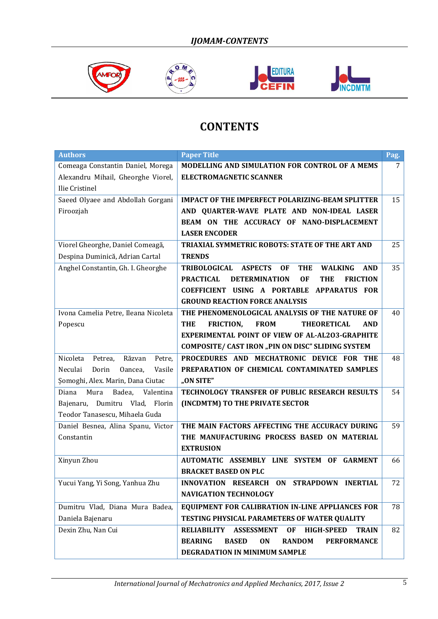







## **CONTENTS**

| <b>Authors</b>                          | <b>Paper Title</b>                                                                        | Pag. |
|-----------------------------------------|-------------------------------------------------------------------------------------------|------|
| Comeaga Constantin Daniel, Morega       | MODELLING AND SIMULATION FOR CONTROL OF A MEMS                                            | 7    |
| Alexandru Mihail, Gheorghe Viorel,      | <b>ELECTROMAGNETIC SCANNER</b>                                                            |      |
| Ilie Cristinel                          |                                                                                           |      |
| Saeed Olyaee and Abdollah Gorgani       | <b>IMPACT OF THE IMPERFECT POLARIZING-BEAM SPLITTER</b>                                   | 15   |
| Firoozjah                               | AND QUARTER-WAVE PLATE AND NON-IDEAL LASER                                                |      |
|                                         | BEAM ON THE ACCURACY OF NANO-DISPLACEMENT                                                 |      |
|                                         | <b>LASER ENCODER</b>                                                                      |      |
| Viorel Gheorghe, Daniel Comeagă,        | TRIAXIAL SYMMETRIC ROBOTS: STATE OF THE ART AND                                           | 25   |
| Despina Duminică, Adrian Cartal         | <b>TRENDS</b>                                                                             |      |
| Anghel Constantin, Gh. I. Gheorghe      | TRIBOLOGICAL<br><b>ASPECTS</b><br><b>OF</b><br><b>THE</b><br><b>WALKING</b><br><b>AND</b> | 35   |
|                                         | <b>PRACTICAL</b><br><b>DETERMINATION</b><br><b>FRICTION</b><br>0F<br><b>THE</b>           |      |
|                                         | COEFFICIENT USING A PORTABLE APPARATUS FOR                                                |      |
|                                         | <b>GROUND REACTION FORCE ANALYSIS</b>                                                     |      |
| Ivona Camelia Petre, Ileana Nicoleta    | THE PHENOMENOLOGICAL ANALYSIS OF THE NATURE OF                                            | 40   |
| Popescu                                 | <b>FRICTION,</b><br><b>THE</b><br><b>FROM</b><br><b>THEORETICAL</b><br><b>AND</b>         |      |
|                                         | <b>EXPERIMENTAL POINT OF VIEW OF AL-AL2O3-GRAPHITE</b>                                    |      |
|                                         | COMPOSITE/ CAST IRON "PIN ON DISC" SLIDING SYSTEM                                         |      |
| Nicoleta<br>Răzvan<br>Petre,<br>Petrea, | PROCEDURES AND MECHATRONIC DEVICE FOR THE                                                 | 48   |
| Neculai<br>Dorin<br>Oancea,<br>Vasile   | PREPARATION OF CHEMICAL CONTAMINATED SAMPLES                                              |      |
| Şomoghi, Alex. Marin, Dana Ciutac       | "ON SITE"                                                                                 |      |
| Badea,<br>Valentina<br>Diana<br>Mura    | TECHNOLOGY TRANSFER OF PUBLIC RESEARCH RESULTS                                            | 54   |
| Dumitru Vlad, Florin<br>Bajenaru,       | (INCDMTM) TO THE PRIVATE SECTOR                                                           |      |
| Teodor Tanasescu, Mihaela Guda          |                                                                                           |      |
| Daniel Besnea, Alina Spanu, Victor      | THE MAIN FACTORS AFFECTING THE ACCURACY DURING                                            | 59   |
| Constantin                              | THE MANUFACTURING PROCESS BASED ON MATERIAL                                               |      |
|                                         | <b>EXTRUSION</b>                                                                          |      |
| Xinyun Zhou                             | AUTOMATIC ASSEMBLY LINE SYSTEM OF<br><b>GARMENT</b>                                       | 66   |
|                                         | <b>BRACKET BASED ON PLC</b>                                                               |      |
| Yucui Yang, Yi Song, Yanhua Zhu         | INNOVATION RESEARCH ON STRAPDOWN INERTIAL                                                 | 72   |
|                                         | <b>NAVIGATION TECHNOLOGY</b>                                                              |      |
| Dumitru Vlad, Diana Mura Badea,         | EQUIPMENT FOR CALIBRATION IN-LINE APPLIANCES FOR                                          | 78   |
| Daniela Bajenaru                        | TESTING PHYSICAL PARAMETERS OF WATER QUALITY                                              |      |
| Dexin Zhu, Nan Cui                      | <b>RELIABILITY</b><br><b>ASSESSMENT</b><br><b>OF</b><br><b>HIGH-SPEED</b><br><b>TRAIN</b> | 82   |
|                                         | <b>BEARING</b><br><b>BASED</b><br>ON<br><b>RANDOM</b><br><b>PERFORMANCE</b>               |      |
|                                         | DEGRADATION IN MINIMUM SAMPLE                                                             |      |